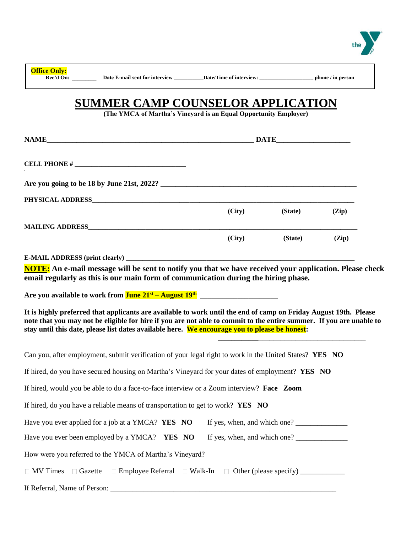

**Office Only:**

# **SUMMER CAMP COUNSELOR APPLICATION**

**(The YMCA of Martha's Vineyard is an Equal Opportunity Employer)**

|                                                                                                                     |                                                                      | <b>DATE</b> |       |  |  |
|---------------------------------------------------------------------------------------------------------------------|----------------------------------------------------------------------|-------------|-------|--|--|
|                                                                                                                     |                                                                      |             |       |  |  |
|                                                                                                                     |                                                                      |             |       |  |  |
| PHYSICAL ADDRESS AND AND RESERVE AND A RESERVE AND RESERVE AND RESERVE AND RESERVE AND RESERVE AND RESERVE AND      |                                                                      |             |       |  |  |
|                                                                                                                     | (City)                                                               | (State)     | (Zip) |  |  |
|                                                                                                                     |                                                                      |             |       |  |  |
|                                                                                                                     | (City)                                                               | (State)     | (Zip) |  |  |
|                                                                                                                     |                                                                      |             |       |  |  |
| NOTE: An e-mail message will be sent to notify you that we have received your application. Please check             |                                                                      |             |       |  |  |
| email regularly as this is our main form of communication during the hiring phase.                                  |                                                                      |             |       |  |  |
|                                                                                                                     |                                                                      |             |       |  |  |
|                                                                                                                     |                                                                      |             |       |  |  |
| It is highly preferred that applicants are available to work until the end of camp on Friday August 19th. Please    |                                                                      |             |       |  |  |
| note that you may not be eligible for hire if you are not able to commit to the entire summer. If you are unable to |                                                                      |             |       |  |  |
| stay until this date, please list dates available here. We encourage you to please be honest:                       |                                                                      |             |       |  |  |
| Can you, after employment, submit verification of your legal right to work in the United States? YES NO             |                                                                      |             |       |  |  |
|                                                                                                                     |                                                                      |             |       |  |  |
| If hired, do you have secured housing on Martha's Vineyard for your dates of employment? YES NO                     |                                                                      |             |       |  |  |
| If hired, would you be able to do a face-to-face interview or a Zoom interview? Face Zoom                           |                                                                      |             |       |  |  |
| If hired, do you have a reliable means of transportation to get to work? YES NO                                     |                                                                      |             |       |  |  |
| Have you ever applied for a job at a YMCA? YES NO                                                                   | If yes, when, and which one?                                         |             |       |  |  |
| Have you ever been employed by a YMCA? YES NO                                                                       |                                                                      |             |       |  |  |
| How were you referred to the YMCA of Martha's Vineyard?                                                             |                                                                      |             |       |  |  |
|                                                                                                                     |                                                                      |             |       |  |  |
| $\Box$ MV Times<br>□ Gazette                                                                                        | □ Employee Referral □ Walk-In □ Other (please specify) _____________ |             |       |  |  |
|                                                                                                                     |                                                                      |             |       |  |  |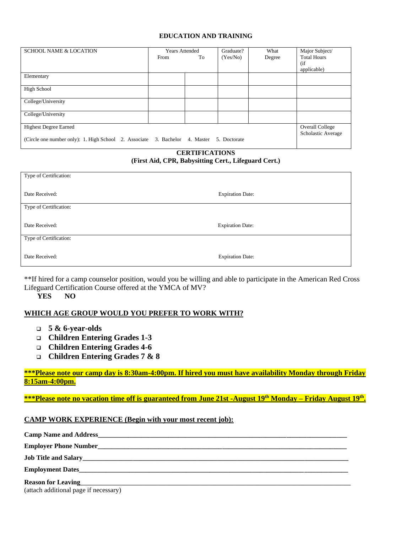#### **EDUCATION AND TRAINING**

| <b>SCHOOL NAME &amp; LOCATION</b>                                 | <b>Years Attended</b> |           | Graduate?    | What   | Major Subject/         |
|-------------------------------------------------------------------|-----------------------|-----------|--------------|--------|------------------------|
|                                                                   | From                  | To        | (Yes/No)     | Degree | <b>Total Hours</b>     |
|                                                                   |                       |           |              |        | (i f)                  |
|                                                                   |                       |           |              |        | applicable)            |
| Elementary                                                        |                       |           |              |        |                        |
|                                                                   |                       |           |              |        |                        |
| High School                                                       |                       |           |              |        |                        |
|                                                                   |                       |           |              |        |                        |
| College/University                                                |                       |           |              |        |                        |
|                                                                   |                       |           |              |        |                        |
| College/University                                                |                       |           |              |        |                        |
|                                                                   |                       |           |              |        |                        |
| <b>Highest Degree Earned</b>                                      |                       |           |              |        | <b>Overall College</b> |
|                                                                   |                       |           |              |        | Scholastic Average     |
| (Circle one number only): 1. High School 2. Associate 3. Bachelor |                       | 4. Master | 5. Doctorate |        |                        |
|                                                                   |                       |           |              |        |                        |

# **CERTIFICATIONS**

#### **(First Aid, CPR, Babysitting Cert., Lifeguard Cert.)**

| Type of Certification: |                         |
|------------------------|-------------------------|
| Date Received:         | <b>Expiration Date:</b> |
| Type of Certification: |                         |
| Date Received:         | <b>Expiration Date:</b> |
|                        |                         |
| Type of Certification: |                         |

\*\*If hired for a camp counselor position, would you be willing and able to participate in the American Red Cross Lifeguard Certification Course offered at the YMCA of MV?

**YES NO**

## **WHICH AGE GROUP WOULD YOU PREFER TO WORK WITH?**

- ❑ **5 & 6-year-olds**
- ❑ **Children Entering Grades 1-3**
- ❑ **Children Entering Grades 4-6**
- ❑ **Children Entering Grades 7 & 8**

**\*\*\*Please note our camp day is 8:30am-4:00pm. If hired you must have availability Monday through Friday 8:15am-4:00pm.**

**\*\*\*Please note no vacation time off is guaranteed from June 21st -August 19th Monday – Friday August 19th .**

## **CAMP WORK EXPERIENCE (Begin with your most recent job):**

| Camp Name and Address <b>Camp Name and Address</b>                                                                                                                                                                                   |
|--------------------------------------------------------------------------------------------------------------------------------------------------------------------------------------------------------------------------------------|
|                                                                                                                                                                                                                                      |
| Job Title and Salary <b>Executive Contract Contract Contract Contract Contract Contract Contract Contract Contract Contract Contract Contract Contract Contract Contract Contract Contract Contract Contract Contract Contract C</b> |
|                                                                                                                                                                                                                                      |
| Reason for Leaving<br><u>Example 2014</u>                                                                                                                                                                                            |
| (ottoob additional page if pecossary)                                                                                                                                                                                                |

(attach additional page if necessary)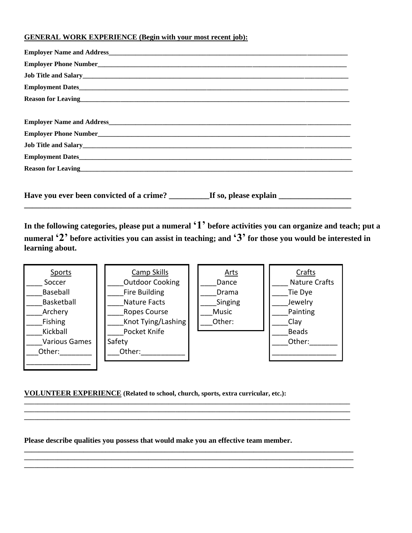# **GENERAL WORK EXPERIENCE (Begin with your most recent job):**

| Job Title and Salary<br><u>Letter and Salary</u>                                                                                                                                                                                     |
|--------------------------------------------------------------------------------------------------------------------------------------------------------------------------------------------------------------------------------------|
| Employment Dates                                                                                                                                                                                                                     |
| Reason for Leaving <u>contract the contract of the contract of the contract of the contract of the contract of the contract of the contract of the contract of the contract of the contract of the contract of the contract of t</u> |
|                                                                                                                                                                                                                                      |
|                                                                                                                                                                                                                                      |
|                                                                                                                                                                                                                                      |
| Job Title and Salary<br><u>Letter and Salary</u>                                                                                                                                                                                     |
|                                                                                                                                                                                                                                      |
| Reason for Leaving<br><u>Reason</u> for Leaving                                                                                                                                                                                      |
|                                                                                                                                                                                                                                      |
| Have you ever been convicted of a crime? ____________If so, please explain ___________________________________                                                                                                                       |

**\_\_\_\_\_\_\_\_\_\_\_\_\_\_\_\_\_\_\_\_\_\_\_\_\_\_\_\_\_\_\_\_\_\_\_\_\_\_\_\_\_\_\_\_\_\_\_\_\_\_\_\_\_\_\_\_\_\_\_\_\_\_\_\_\_\_\_\_\_\_\_\_\_\_\_\_\_\_\_\_\_**

**In the following categories, please put a numeral '1' before activities you can organize and teach; put a numeral '2' before activities you can assist in teaching; and '3' for those you would be interested in learning about.** 



**\_\_\_\_\_\_\_\_\_\_\_\_\_\_\_\_\_\_\_\_\_\_\_\_\_\_\_\_\_\_\_\_\_\_\_\_\_\_\_\_\_\_\_\_\_\_\_\_\_\_\_\_\_\_\_\_\_\_\_\_\_\_\_\_\_\_\_\_\_\_\_\_\_\_\_\_\_\_\_\_\_\_\_\_\_\_\_\_\_\_\_\_\_\_\_\_\_ \_\_\_\_\_\_\_\_\_\_\_\_\_\_\_\_\_\_\_\_\_\_\_\_\_\_\_\_\_\_\_\_\_\_\_\_\_\_\_\_\_\_\_\_\_\_\_\_\_\_\_\_\_\_\_\_\_\_\_\_\_\_\_\_\_\_\_\_\_\_\_\_\_\_\_\_\_\_\_\_\_\_\_\_\_\_\_\_\_\_\_\_\_\_\_\_\_ \_\_\_\_\_\_\_\_\_\_\_\_\_\_\_\_\_\_\_\_\_\_\_\_\_\_\_\_\_\_\_\_\_\_\_\_\_\_\_\_\_\_\_\_\_\_\_\_\_\_\_\_\_\_\_\_\_\_\_\_\_\_\_\_\_\_\_\_\_\_\_\_\_\_\_\_\_\_\_\_\_\_\_\_\_\_\_\_\_\_\_\_\_\_\_\_\_**

**\_\_\_\_\_\_\_\_\_\_\_\_\_\_\_\_\_\_\_\_\_\_\_\_\_\_\_\_\_\_\_\_\_\_\_\_\_\_\_\_\_\_\_\_\_\_\_\_\_\_\_\_\_\_\_\_\_\_\_\_\_\_\_\_\_\_\_\_\_\_\_\_\_\_\_\_\_\_\_\_\_\_\_\_\_\_\_\_\_ \_\_\_\_\_\_\_\_\_\_\_\_\_\_\_\_\_\_\_\_\_\_\_\_\_\_\_\_\_\_\_\_\_\_\_\_\_\_\_\_\_\_\_\_\_\_\_\_\_\_\_\_\_\_\_\_\_\_\_\_\_\_\_\_\_\_\_\_\_\_\_\_\_\_\_\_\_\_\_\_\_\_\_\_\_\_\_\_\_\_\_\_\_\_\_\_\_\_ \_\_\_\_\_\_\_\_\_\_\_\_\_\_\_\_\_\_\_\_\_\_\_\_\_\_\_\_\_\_\_\_\_\_\_\_\_\_\_\_\_\_\_\_\_\_\_\_\_\_\_\_\_\_\_\_\_\_\_\_\_\_\_\_\_\_\_\_\_\_\_\_\_\_\_\_\_\_\_\_\_\_\_\_\_\_\_\_\_\_\_\_\_\_\_\_\_\_**

# **VOLUNTEER EXPERIENCE (Related to school, church, sports, extra curricular, etc.):** \_\_\_\_\_\_\_\_\_\_

**Please describe qualities you possess that would make you an effective team member.**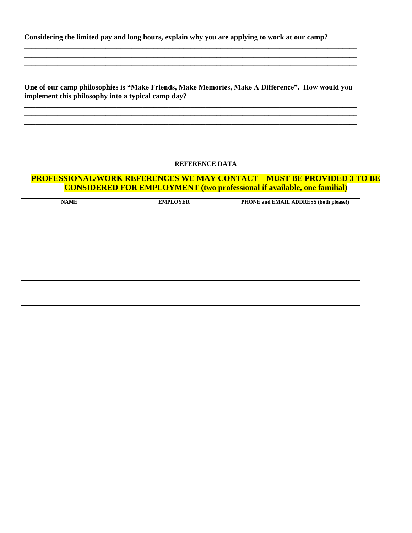**Considering the limited pay and long hours, explain why you are applying to work at our camp?**

**One of our camp philosophies is "Make Friends, Make Memories, Make A Difference". How would you implement this philosophy into a typical camp day?**

**\_\_\_\_\_\_\_\_\_\_\_\_\_\_\_\_\_\_\_\_\_\_\_\_\_\_\_\_\_\_\_\_\_\_\_\_\_\_\_\_\_\_\_\_\_\_\_\_\_\_\_\_\_\_\_\_\_\_\_\_\_\_\_\_\_\_\_\_\_\_\_\_\_\_\_\_\_\_\_\_\_\_\_\_\_\_\_\_\_\_ \_\_\_\_\_\_\_\_\_\_\_\_\_\_\_\_\_\_\_\_\_\_\_\_\_\_\_\_\_\_\_\_\_\_\_\_\_\_\_\_\_\_\_\_\_\_\_\_\_\_\_\_\_\_\_\_\_\_\_\_\_\_\_\_\_\_\_\_\_\_\_\_\_\_\_\_\_\_\_\_\_\_\_\_\_\_\_\_\_\_**

**\_\_\_\_\_\_\_\_\_\_\_\_\_\_\_\_\_\_\_\_\_\_\_\_\_\_\_\_\_\_\_\_\_\_\_\_\_\_\_\_\_\_\_\_\_\_\_\_\_\_\_\_\_\_\_\_\_\_\_\_\_\_\_\_\_\_\_\_\_\_\_\_\_\_\_\_\_\_\_\_\_\_\_\_\_\_\_\_\_\_**  $\ldots$  . The contribution of the contribution of the contribution of the contribution of the contribution of the contribution of the contribution of the contribution of the contribution of the contribution of the contribut \_\_\_\_\_\_\_\_\_\_\_\_\_\_\_\_\_\_\_\_\_\_\_\_\_\_\_\_\_\_\_\_\_\_\_\_\_\_\_\_\_\_\_\_\_\_\_\_\_\_\_\_\_\_\_\_\_\_\_\_\_\_\_\_\_\_\_\_\_\_\_\_\_\_\_\_\_\_\_\_\_\_\_\_\_\_\_\_\_\_

#### **REFERENCE DATA**

**\_\_\_\_\_\_\_\_\_\_\_\_\_\_\_\_\_\_\_\_\_\_\_\_\_\_\_\_\_\_\_\_\_\_\_\_\_\_\_\_\_\_\_\_\_\_\_\_\_\_\_\_\_\_\_\_\_\_\_\_\_\_\_\_\_\_\_\_\_\_\_\_\_\_\_\_\_\_\_\_\_\_\_\_\_\_\_\_\_\_ \_\_\_\_\_\_\_\_\_\_\_\_\_\_\_\_\_\_\_\_\_\_\_\_\_\_\_\_\_\_\_\_\_\_\_\_\_\_\_\_\_\_\_\_\_\_\_\_\_\_\_\_\_\_\_\_\_\_\_\_\_\_\_\_\_\_\_\_\_\_\_\_\_\_\_\_\_\_\_\_\_\_\_\_\_\_\_\_\_\_**

# **PROFESSIONAL/WORK REFERENCES WE MAY CONTACT – MUST BE PROVIDED 3 TO BE CONSIDERED FOR EMPLOYMENT (two professional if available, one familial)**

| <b>NAME</b> | <b>EMPLOYER</b> | PHONE and EMAIL ADDRESS (both please!) |
|-------------|-----------------|----------------------------------------|
|             |                 |                                        |
|             |                 |                                        |
|             |                 |                                        |
|             |                 |                                        |
|             |                 |                                        |
|             |                 |                                        |
|             |                 |                                        |
|             |                 |                                        |
|             |                 |                                        |
|             |                 |                                        |
|             |                 |                                        |
|             |                 |                                        |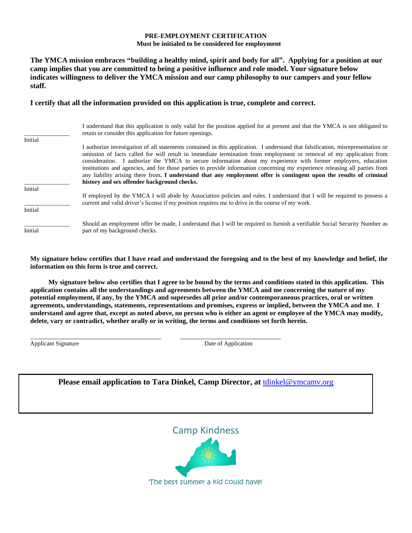#### **PRE-EMPLOYMENT CERTIFICATION Must be initialed to be considered for employment**

**The YMCA mission embraces "building a healthy mind, spirit and body for all". Applying for a position at our camp implies that you are committed to being a positive influence and role model. Your signature below indicates willingness to deliver the YMCA mission and our camp philosophy to our campers and your fellow staff.**

#### **I certify that all the information provided on this application is true, complete and correct.**

| Initial            | I understand that this application is only valid for the position applied for at present and that the YMCA is not obligated to<br>retain or consider this application for future openings.                                                                                                                                                                                                                                                                                                                                                                                                                                                                                     |
|--------------------|--------------------------------------------------------------------------------------------------------------------------------------------------------------------------------------------------------------------------------------------------------------------------------------------------------------------------------------------------------------------------------------------------------------------------------------------------------------------------------------------------------------------------------------------------------------------------------------------------------------------------------------------------------------------------------|
|                    | I authorize investigation of all statements contained in this application. I understand that falsification, misrepresentation or<br>omission of facts called for will result in immediate termination from employment or removal of my application from<br>consideration. I authorize the YMCA to secure information about my experience with former employers, education<br>institutions and agencies, and for those parties to provide information concerning my experience releasing all parties from<br>any liability arising there from. I understand that any employment offer is contingent upon the results of criminal<br>history and sex offender background checks. |
| Initial<br>Initial | If employed by the YMCA I will abide by Association policies and rules. I understand that I will be required to possess a<br>current and valid driver's license if my position requires me to drive in the course of my work.                                                                                                                                                                                                                                                                                                                                                                                                                                                  |
| Initial            | Should an employment offer be made, I understand that I will be required to furnish a verifiable Social Security Number as<br>part of my background checks.                                                                                                                                                                                                                                                                                                                                                                                                                                                                                                                    |

**My signature below certifies that I have read and understand the foregoing and to the best of my knowledge and belief, the information on this form is true and correct.**

**My signature below also certifies that I agree to be bound by the terms and conditions stated in this application. This application contains all the understandings and agreements between the YMCA and me concerning the nature of my potential employment, if any, by the YMCA and supersedes all prior and/or contemporaneous practices, oral or written agreements, understandings, statements, representations and promises, express or implied, between the YMCA and me. I understand and agree that, except as noted above, no person who is either an agent or employee of the YMCA may modify, delete, vary or contradict, whether orally or in writing, the terms and conditions set forth herein.**

Applicant Signature Date of Application

**Please email application to Tara Dinkel, Camp Director, at** [tdinkel@ymcamv.org](mailto:tdinkel@ymcamv.org)

\_\_\_\_\_\_\_\_\_\_\_\_\_\_\_\_\_\_\_\_\_\_\_\_\_\_\_\_\_\_\_\_\_\_\_\_\_\_\_ \_\_\_\_\_\_\_\_\_\_\_\_\_\_\_\_\_\_\_\_\_\_\_\_\_\_\_\_\_\_

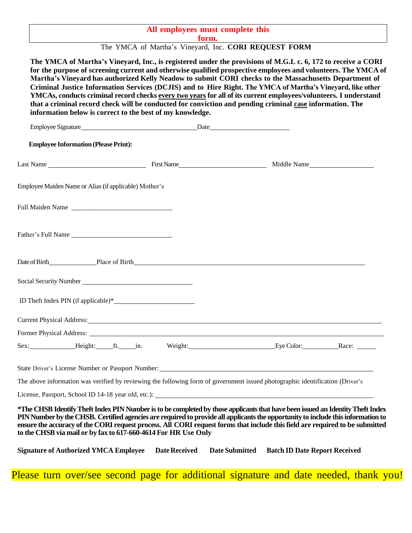# **All employees must complete this**

**form.**

The YMCA of Martha's Vineyard, Inc. CORI REQUEST FORM

The YMCA of Martha's Vineyard, Inc., is registered under the provisions of M.G.L c. 6, 172 to receive a CORI **for the purpose of screening current and otherwise qualified prospective employees and volunteers. The YMCA of Martha's Vineyard has authorized Kelly Neadow to submit CORI checks to the Massachusetts Department of Criminal Justice Information Services (DCJIS) and to Hire Right. The YMCA of Martha's Vineyard, like other YMCAs, conducts criminal record checks every two years for all of its current employees/volunteers. I understand that a criminal record check will be conducted for conviction and pending criminal case information. The information below is correct to the best of my knowledge.**

| Employee Signature                                                                                                                                                                                                                                                                                                                                                                                                                                                   |                      | Date                                         |  |
|----------------------------------------------------------------------------------------------------------------------------------------------------------------------------------------------------------------------------------------------------------------------------------------------------------------------------------------------------------------------------------------------------------------------------------------------------------------------|----------------------|----------------------------------------------|--|
| <b>Employee Information (Please Print):</b>                                                                                                                                                                                                                                                                                                                                                                                                                          |                      |                                              |  |
|                                                                                                                                                                                                                                                                                                                                                                                                                                                                      |                      |                                              |  |
| Employee Maiden Name or Alias (if applicable) Mother's                                                                                                                                                                                                                                                                                                                                                                                                               |                      |                                              |  |
| Full Maiden Name                                                                                                                                                                                                                                                                                                                                                                                                                                                     |                      |                                              |  |
|                                                                                                                                                                                                                                                                                                                                                                                                                                                                      |                      |                                              |  |
| Date of Birth Place of Birth Place of Birth                                                                                                                                                                                                                                                                                                                                                                                                                          |                      |                                              |  |
|                                                                                                                                                                                                                                                                                                                                                                                                                                                                      |                      |                                              |  |
|                                                                                                                                                                                                                                                                                                                                                                                                                                                                      |                      |                                              |  |
| Current Physical Address: No. 1996. The Contract of the Contract of the Contract of the Contract of the Contract of the Contract of the Contract of the Contract of the Contract of the Contract of the Contract of the Contra                                                                                                                                                                                                                                       |                      |                                              |  |
|                                                                                                                                                                                                                                                                                                                                                                                                                                                                      |                      |                                              |  |
| Sex: Height: ft. in. Weight: Weight: Eye Color: Race: _______                                                                                                                                                                                                                                                                                                                                                                                                        |                      |                                              |  |
|                                                                                                                                                                                                                                                                                                                                                                                                                                                                      |                      |                                              |  |
| The above information was verified by reviewing the following form of government issued photographic identification (Driver's                                                                                                                                                                                                                                                                                                                                        |                      |                                              |  |
|                                                                                                                                                                                                                                                                                                                                                                                                                                                                      |                      |                                              |  |
| *The CHSB Identify Theft Index PIN Number is to be completed by those applicants that have been issued an Identity Theft Index<br>PIN Number by the CHSB. Certified agencies are required to provide all applicants the opportunity to include this information to<br>ensure the accuracy of the CORI request process. All CORI request forms that include this field are required to be submitted<br>to the CHSB via mail or by fax to 617-660-4614 For HR Use Only |                      |                                              |  |
| <b>Signature of Authorized YMCA Employee</b>                                                                                                                                                                                                                                                                                                                                                                                                                         | <b>Date Received</b> | Date Submitted Batch ID Date Report Received |  |

Please turn over/see second page for additional signature and date needed, thank you!